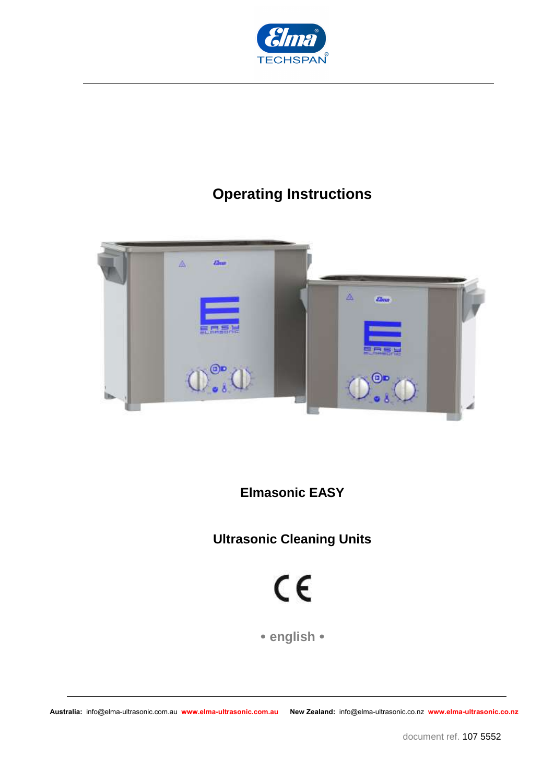

## **Operating Instructions**



**Elmasonic EASY** 

**Ultrasonic Cleaning Units** 

 $C \in$ 

 **english**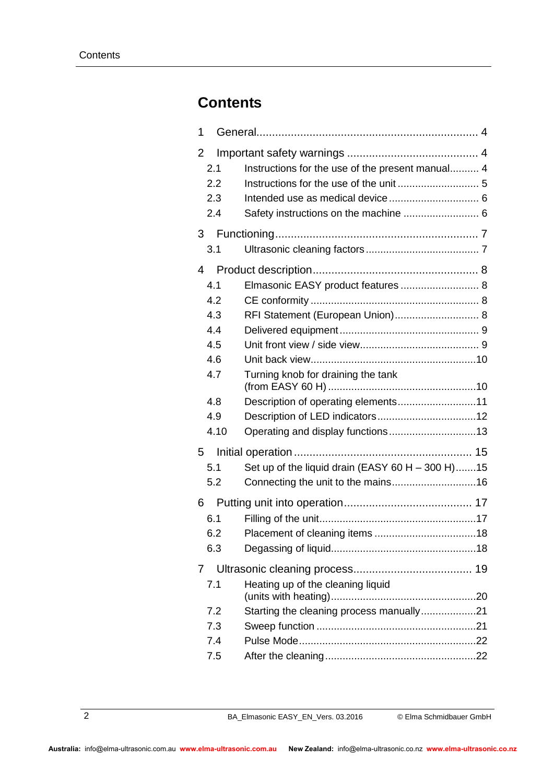## **Contents**

| 1    |                                                    |  |  |  |
|------|----------------------------------------------------|--|--|--|
| 2    |                                                    |  |  |  |
| 2.1  | Instructions for the use of the present manual 4   |  |  |  |
| 2.2  |                                                    |  |  |  |
| 2.3  |                                                    |  |  |  |
| 2.4  | Safety instructions on the machine  6              |  |  |  |
| 3    |                                                    |  |  |  |
| 3.1  |                                                    |  |  |  |
| 4    |                                                    |  |  |  |
| 4.1  | Elmasonic EASY product features  8                 |  |  |  |
| 4.2  |                                                    |  |  |  |
| 4.3  | RFI Statement (European Union) 8                   |  |  |  |
| 4.4  |                                                    |  |  |  |
| 4.5  |                                                    |  |  |  |
| 4.6  |                                                    |  |  |  |
| 4.7  | Turning knob for draining the tank                 |  |  |  |
| 4.8  | Description of operating elements11                |  |  |  |
| 4.9  |                                                    |  |  |  |
| 4.10 | Operating and display functions13                  |  |  |  |
| 5    |                                                    |  |  |  |
| 5.1  | Set up of the liquid drain (EASY 60 H $-$ 300 H)15 |  |  |  |
| 5.2  |                                                    |  |  |  |
| 6    |                                                    |  |  |  |
| 6.1  |                                                    |  |  |  |
| 6.2  |                                                    |  |  |  |
| 6.3  |                                                    |  |  |  |
| 7    |                                                    |  |  |  |
| 7.1  | Heating up of the cleaning liquid                  |  |  |  |
| 7.2  | Starting the cleaning process manually21           |  |  |  |
| 7.3  |                                                    |  |  |  |
| 7.4  |                                                    |  |  |  |
| 7.5  |                                                    |  |  |  |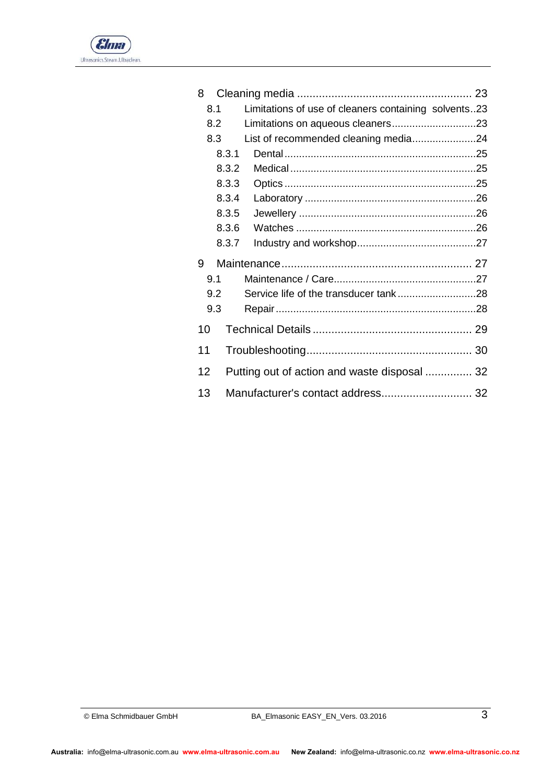

| 8  |       |                                                      |  |
|----|-------|------------------------------------------------------|--|
|    | 8.1   | Limitations of use of cleaners containing solvents23 |  |
|    | 8.2   |                                                      |  |
|    | 8.3   | List of recommended cleaning media24                 |  |
|    | 8.3.1 |                                                      |  |
|    | 8.3.2 |                                                      |  |
|    | 8.3.3 |                                                      |  |
|    | 8.3.4 |                                                      |  |
|    | 8.3.5 |                                                      |  |
|    | 8.3.6 |                                                      |  |
|    | 8.3.7 |                                                      |  |
| 9  |       |                                                      |  |
|    | 9.1   |                                                      |  |
|    | 9.2   |                                                      |  |
|    | 9.3   |                                                      |  |
| 10 |       |                                                      |  |
| 11 |       |                                                      |  |
| 12 |       | Putting out of action and waste disposal  32         |  |
| 13 |       | Manufacturer's contact address 32                    |  |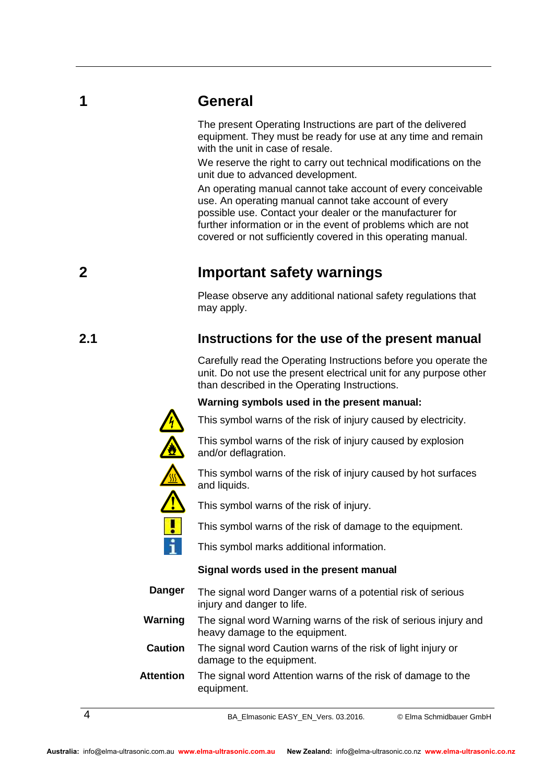## **1 General**

<span id="page-3-0"></span>The present Operating Instructions are part of the delivered equipment. They must be ready for use at any time and remain with the unit in case of resale.

We reserve the right to carry out technical modifications on the unit due to advanced development.

An operating manual cannot take account of every conceivable use. An operating manual cannot take account of every possible use. Contact your dealer or the manufacturer for further information or in the event of problems which are not covered or not sufficiently covered in this operating manual.

## **2 Important safety warnings**

<span id="page-3-2"></span><span id="page-3-1"></span>Please observe any additional national safety regulations that may apply.

## **2.1 Instructions for the use of the present manual**

Carefully read the Operating Instructions before you operate the unit. Do not use the present electrical unit for any purpose other than described in the Operating Instructions.

#### **Warning symbols used in the present manual:**

This symbol warns of the risk of injury caused by electricity.

This symbol warns of the risk of injury caused by explosion and/or deflagration.

This symbol warns of the risk of injury caused by hot surfaces and liquids.

This symbol warns of the risk of injury.

This symbol warns of the risk of damage to the equipment.

This symbol marks additional information.

#### **Signal words used in the present manual**

The signal word Danger warns of a potential risk of serious injury and danger to life. **Danger**

The signal word Warning warns of the risk of serious injury and heavy damage to the equipment. **Warning**

The signal word Caution warns of the risk of light injury or damage to the equipment. **Caution**

The signal word Attention warns of the risk of damage to the equipment. **Attention**

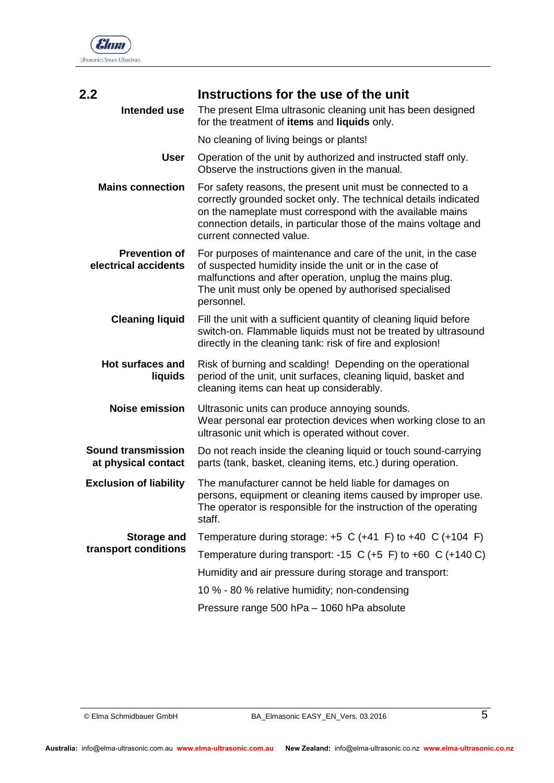

<span id="page-4-0"></span>

| 2.2<br>Intended use                          | Instructions for the use of the unit<br>The present Elma ultrasonic cleaning unit has been designed                                                                                                                                                                                         |  |  |
|----------------------------------------------|---------------------------------------------------------------------------------------------------------------------------------------------------------------------------------------------------------------------------------------------------------------------------------------------|--|--|
|                                              | for the treatment of items and liquids only.                                                                                                                                                                                                                                                |  |  |
|                                              | No cleaning of living beings or plants!                                                                                                                                                                                                                                                     |  |  |
| <b>User</b>                                  | Operation of the unit by authorized and instructed staff only.<br>Observe the instructions given in the manual.                                                                                                                                                                             |  |  |
| <b>Mains connection</b>                      | For safety reasons, the present unit must be connected to a<br>correctly grounded socket only. The technical details indicated<br>on the nameplate must correspond with the available mains<br>connection details, in particular those of the mains voltage and<br>current connected value. |  |  |
| <b>Prevention of</b><br>electrical accidents | For purposes of maintenance and care of the unit, in the case<br>of suspected humidity inside the unit or in the case of<br>malfunctions and after operation, unplug the mains plug.<br>The unit must only be opened by authorised specialised<br>personnel.                                |  |  |
| <b>Cleaning liquid</b>                       | Fill the unit with a sufficient quantity of cleaning liquid before<br>switch-on. Flammable liquids must not be treated by ultrasound<br>directly in the cleaning tank: risk of fire and explosion!                                                                                          |  |  |
| <b>Hot surfaces and</b><br>liquids           | Risk of burning and scalding! Depending on the operational<br>period of the unit, unit surfaces, cleaning liquid, basket and<br>cleaning items can heat up considerably.                                                                                                                    |  |  |
| <b>Noise emission</b>                        | Ultrasonic units can produce annoying sounds.<br>Wear personal ear protection devices when working close to an<br>ultrasonic unit which is operated without cover.                                                                                                                          |  |  |
| Sound transmission<br>at physical contact    | Do not reach inside the cleaning liquid or touch sound-carrying<br>parts (tank, basket, cleaning items, etc.) during operation.                                                                                                                                                             |  |  |
| <b>Exclusion of liability</b>                | The manufacturer cannot be held liable for damages on<br>persons, equipment or cleaning items caused by improper use.<br>The operator is responsible for the instruction of the operating<br>staff.                                                                                         |  |  |
| <b>Storage and</b>                           | Temperature during storage: $+5$ C ( $+41$ F) to $+40$ C ( $+104$ F)                                                                                                                                                                                                                        |  |  |
| transport conditions                         | Temperature during transport: -15 C (+5 F) to +60 C (+140 C)                                                                                                                                                                                                                                |  |  |
|                                              | Humidity and air pressure during storage and transport:                                                                                                                                                                                                                                     |  |  |
|                                              | 10 % - 80 % relative humidity; non-condensing                                                                                                                                                                                                                                               |  |  |
|                                              | Pressure range 500 hPa - 1060 hPa absolute                                                                                                                                                                                                                                                  |  |  |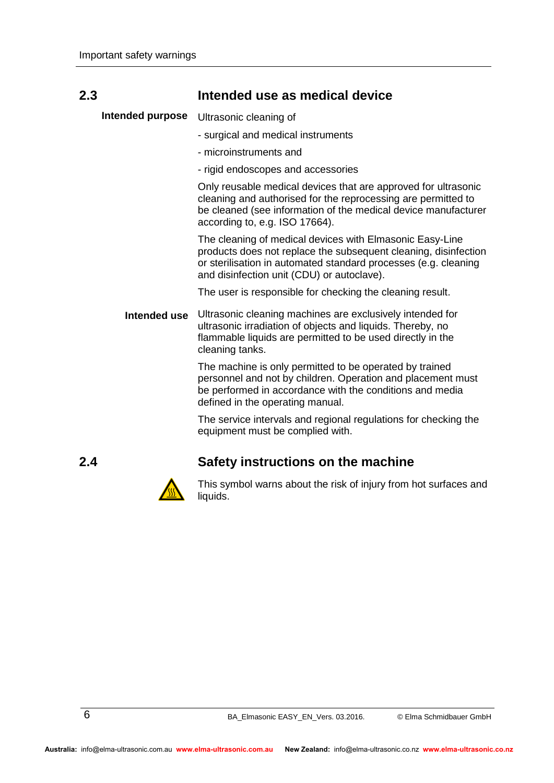<span id="page-5-0"></span>

| 2.3              | Intended use as medical device                                                                                                                                                                                                               |
|------------------|----------------------------------------------------------------------------------------------------------------------------------------------------------------------------------------------------------------------------------------------|
| Intended purpose | Ultrasonic cleaning of                                                                                                                                                                                                                       |
|                  | - surgical and medical instruments                                                                                                                                                                                                           |
|                  | - microinstruments and                                                                                                                                                                                                                       |
|                  | - rigid endoscopes and accessories                                                                                                                                                                                                           |
|                  | Only reusable medical devices that are approved for ultrasonic<br>cleaning and authorised for the reprocessing are permitted to<br>be cleaned (see information of the medical device manufacturer<br>according to, e.g. ISO 17664).          |
|                  | The cleaning of medical devices with Elmasonic Easy-Line<br>products does not replace the subsequent cleaning, disinfection<br>or sterilisation in automated standard processes (e.g. cleaning<br>and disinfection unit (CDU) or autoclave). |
|                  | The user is responsible for checking the cleaning result.                                                                                                                                                                                    |
| Intended use     | Ultrasonic cleaning machines are exclusively intended for<br>ultrasonic irradiation of objects and liquids. Thereby, no<br>flammable liquids are permitted to be used directly in the<br>cleaning tanks.                                     |
|                  | The machine is only permitted to be operated by trained<br>personnel and not by children. Operation and placement must<br>be performed in accordance with the conditions and media<br>defined in the operating manual.                       |
|                  | The service intervals and regional regulations for checking the<br>equipment must be complied with.                                                                                                                                          |

### **2.4 Safety instructions on the machine**



<span id="page-5-1"></span>This symbol warns about the risk of injury from hot surfaces and liquids.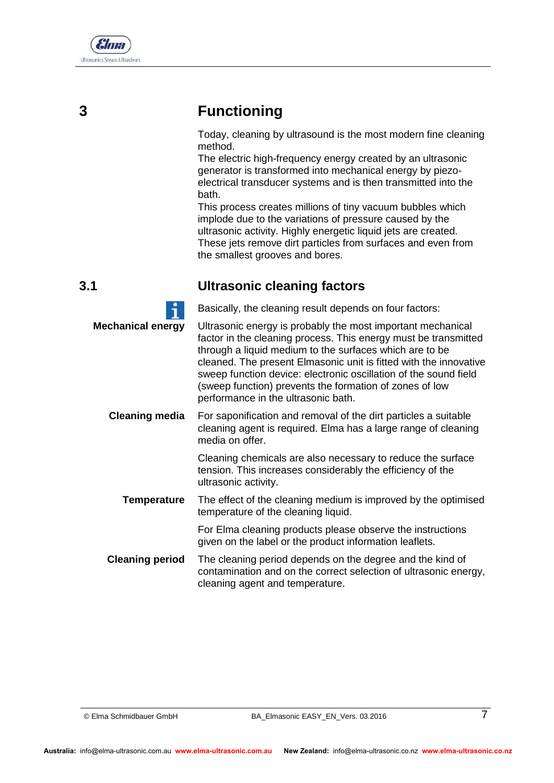

# **3 Functioning**

<span id="page-6-0"></span>Today, cleaning by ultrasound is the most modern fine cleaning method.

The electric high-frequency energy created by an ultrasonic generator is transformed into mechanical energy by piezoelectrical transducer systems and is then transmitted into the bath.

<span id="page-6-1"></span>This process creates millions of tiny vacuum bubbles which implode due to the variations of pressure caused by the ultrasonic activity. Highly energetic liquid jets are created. These jets remove dirt particles from surfaces and even from the smallest grooves and bores.

## **3.1 Ultrasonic cleaning factors**

|                          | Basically, the cleaning result depends on four factors:                                                                                                                                                                                                                                                                                                                                                                              |
|--------------------------|--------------------------------------------------------------------------------------------------------------------------------------------------------------------------------------------------------------------------------------------------------------------------------------------------------------------------------------------------------------------------------------------------------------------------------------|
| <b>Mechanical energy</b> | Ultrasonic energy is probably the most important mechanical<br>factor in the cleaning process. This energy must be transmitted<br>through a liquid medium to the surfaces which are to be<br>cleaned. The present Elmasonic unit is fitted with the innovative<br>sweep function device: electronic oscillation of the sound field<br>(sweep function) prevents the formation of zones of low<br>performance in the ultrasonic bath. |
| <b>Cleaning media</b>    | For saponification and removal of the dirt particles a suitable<br>cleaning agent is required. Elma has a large range of cleaning<br>media on offer.                                                                                                                                                                                                                                                                                 |
|                          | Cleaning chemicals are also necessary to reduce the surface<br>tension. This increases considerably the efficiency of the<br>ultrasonic activity.                                                                                                                                                                                                                                                                                    |
| <b>Temperature</b>       | The effect of the cleaning medium is improved by the optimised<br>temperature of the cleaning liquid.                                                                                                                                                                                                                                                                                                                                |
|                          | For Elma cleaning products please observe the instructions<br>given on the label or the product information leaflets.                                                                                                                                                                                                                                                                                                                |
| <b>Cleaning period</b>   | The cleaning period depends on the degree and the kind of<br>contamination and on the correct selection of ultrasonic energy,<br>cleaning agent and temperature.                                                                                                                                                                                                                                                                     |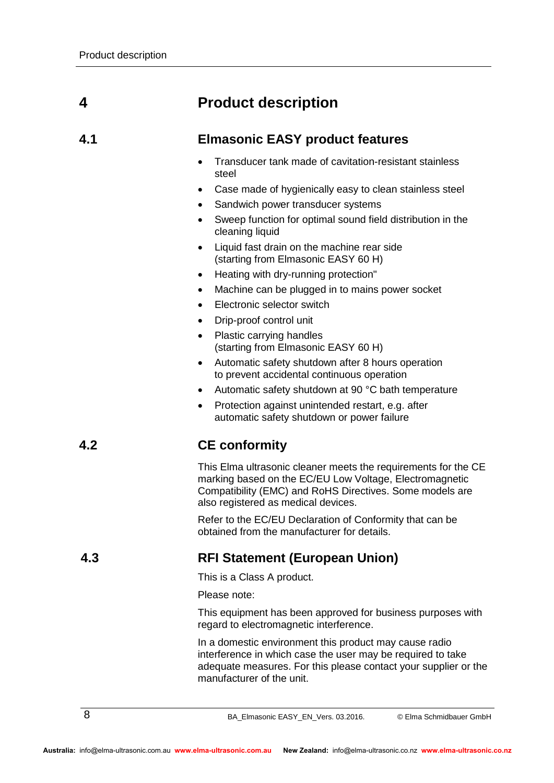# **4 Product description**

### **4.1 Elmasonic EASY product features**

- <span id="page-7-1"></span><span id="page-7-0"></span> Transducer tank made of cavitation-resistant stainless steel
- Case made of hygienically easy to clean stainless steel
- Sandwich power transducer systems
- Sweep function for optimal sound field distribution in the cleaning liquid
- Liquid fast drain on the machine rear side (starting from Elmasonic EASY 60 H)
- Heating with dry-running protection"
- Machine can be plugged in to mains power socket
- Electronic selector switch
- Drip-proof control unit
- Plastic carrying handles (starting from Elmasonic EASY 60 H)
- Automatic safety shutdown after 8 hours operation to prevent accidental continuous operation
- Automatic safety shutdown at 90 °C bath temperature
- <span id="page-7-2"></span> Protection against unintended restart, e.g. after automatic safety shutdown or power failure

## **4.2 CE conformity**

This Elma ultrasonic cleaner meets the requirements for the CE marking based on the EC/EU Low Voltage, Electromagnetic Compatibility (EMC) and RoHS Directives. Some models are also registered as medical devices.

<span id="page-7-3"></span>Refer to the EC/EU Declaration of Conformity that can be obtained from the manufacturer for details.

## **4.3 RFI Statement (European Union)**

This is a Class A product.

Please note:

This equipment has been approved for business purposes with regard to electromagnetic interference.

In a domestic environment this product may cause radio interference in which case the user may be required to take adequate measures. For this please contact your supplier or the manufacturer of the unit.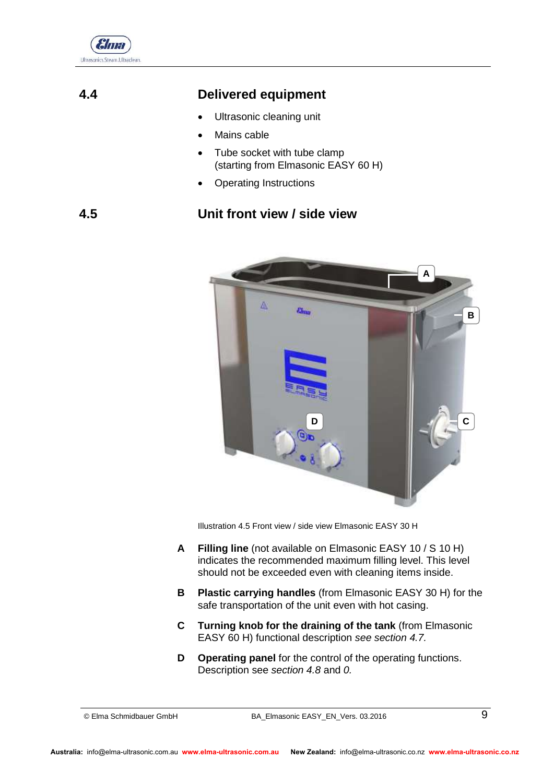

## **4.4 Delivered equipment**

- <span id="page-8-0"></span>Ultrasonic cleaning unit
- Mains cable
- Tube socket with tube clamp (starting from Elmasonic EASY 60 H)
- <span id="page-8-1"></span>Operating Instructions

## **4.5 Unit front view / side view**



Illustration 4.5 Front view / side view Elmasonic EASY 30 H

- **Filling line** (not available on Elmasonic EASY 10 / S 10 H) indicates the recommended maximum filling level. This level should not be exceeded even with cleaning items inside. **A**
- **Plastic carrying handles** (from Elmasonic EASY 30 H) for the safe transportation of the unit even with hot casing. **B**
- **Turning knob for the draining of the tank** (from Elmasonic EASY 60 H) functional description *see section [4.7.](#page-9-1)* **C**
- **Operating panel** for the control of the operating functions. Description see *section [4.8](#page-10-0)* and *[0.](#page-10-1)* **D**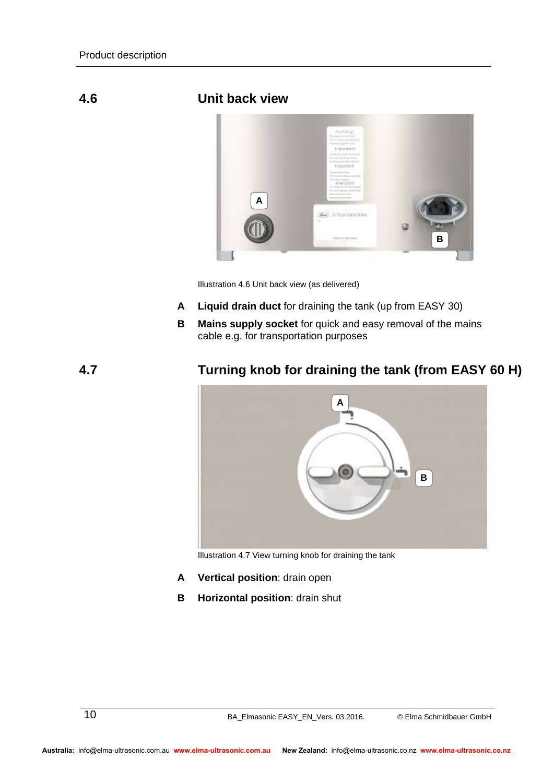#### **4.6 Unit back view**

<span id="page-9-0"></span>

Illustration 4.6 Unit back view (as delivered)

- **Liquid drain duct** for draining the tank (up from EASY 30) **A**
- **Mains supply socket** for quick and easy removal of the mains cable e.g. for transportation purposes **B**

#### **4.7 Turning knob for draining the tank (from EASY 60 H)**

<span id="page-9-1"></span>

Illustration 4.7 View turning knob for draining the tank

- **Vertical position**: drain open **A**
- **Horizontal position**: drain shut **B**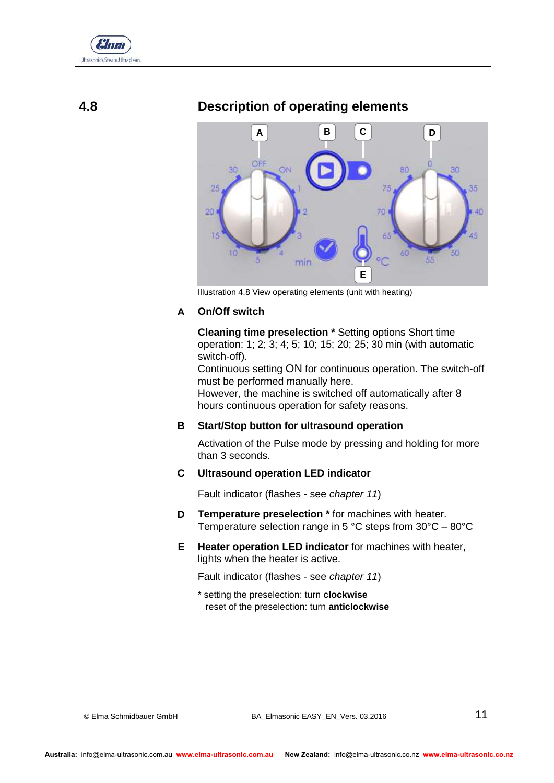

#### **4.8 Description of operating elements**

<span id="page-10-0"></span>

Illustration 4.8 View operating elements (unit with heating)

#### <span id="page-10-1"></span>**On/Off switch A**

**Cleaning time preselection \*** Setting options Short time operation: 1; 2; 3; 4; 5; 10; 15; 20; 25; 30 min (with automatic switch-off).

Continuous setting ON for continuous operation. The switch-off must be performed manually here.

However, the machine is switched off automatically after 8 hours continuous operation for safety reasons.

#### **Start/Stop button for ultrasound operation B**

Activation of the Pulse mode by pressing and holding for more than 3 seconds.

#### **Ultrasound operation LED indicator C**

Fault indicator (flashes - see *chapter 11*)

- **Temperature preselection \*** for machines with heater. Temperature selection range in 5 °C steps from 30°C – 80°C **D**
- **Heater operation LED indicator** for machines with heater, lights when the heater is active. **E**

Fault indicator (flashes - see *chapter 11*)

\* setting the preselection: turn **clockwise** reset of the preselection: turn **anticlockwise**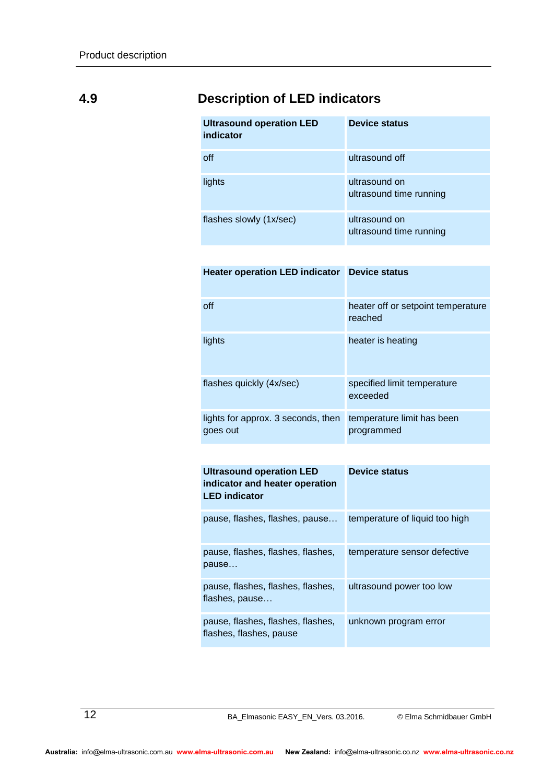## **4.9 Description of LED indicators**

<span id="page-11-0"></span>

| <b>Ultrasound operation LED</b><br>indicator | <b>Device status</b>                     |
|----------------------------------------------|------------------------------------------|
| off                                          | ultrasound off                           |
| lights                                       | ultrasound on<br>ultrasound time running |
| flashes slowly (1x/sec)                      | ultrasound on<br>ultrasound time running |

| <b>Heater operation LED indicator</b><br><b>Device status</b> |
|---------------------------------------------------------------|
| heater off or setpoint temperature<br>reached                 |
| heater is heating                                             |
| specified limit temperature<br>exceeded                       |
| temperature limit has been<br>programmed                      |
|                                                               |

| <b>Ultrasound operation LED</b><br>indicator and heater operation<br><b>LED</b> indicator | <b>Device status</b>           |
|-------------------------------------------------------------------------------------------|--------------------------------|
| pause, flashes, flashes, pause                                                            | temperature of liquid too high |
| pause, flashes, flashes, flashes,<br>pause                                                | temperature sensor defective   |
| pause, flashes, flashes, flashes,<br>flashes, pause                                       | ultrasound power too low       |
|                                                                                           |                                |

pause, flashes, flashes, flashes, flashes, flashes, pause unknown program error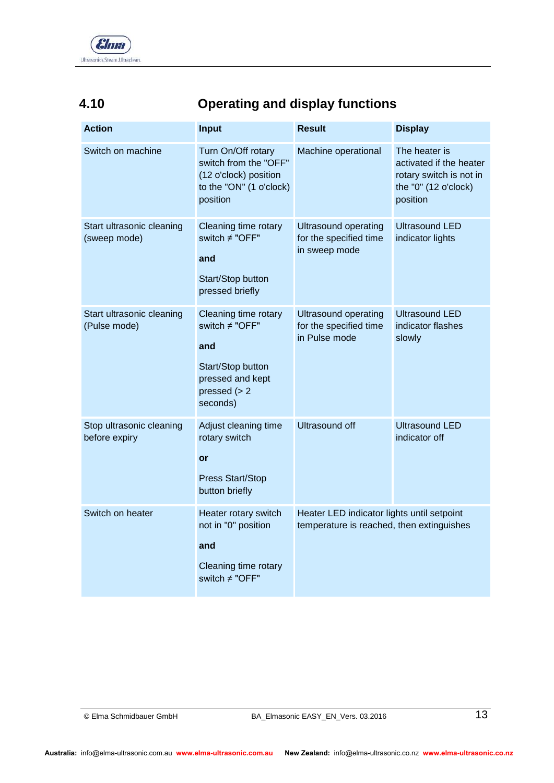

## **4.10 Operating and display functions**

<span id="page-12-0"></span>

| <b>Action</b>                             | Input                                                                                                                 | <b>Result</b>                                                                           | <b>Display</b>                                                                                          |
|-------------------------------------------|-----------------------------------------------------------------------------------------------------------------------|-----------------------------------------------------------------------------------------|---------------------------------------------------------------------------------------------------------|
| Switch on machine                         | Turn On/Off rotary<br>switch from the "OFF"<br>(12 o'clock) position<br>to the "ON" (1 o'clock)<br>position           | Machine operational                                                                     | The heater is<br>activated if the heater<br>rotary switch is not in<br>the "0" (12 o'clock)<br>position |
| Start ultrasonic cleaning<br>(sweep mode) | Cleaning time rotary<br>switch ≠ "OFF"<br>and<br>Start/Stop button<br>pressed briefly                                 | <b>Ultrasound operating</b><br>for the specified time<br>in sweep mode                  | <b>Ultrasound LED</b><br>indicator lights                                                               |
| Start ultrasonic cleaning<br>(Pulse mode) | Cleaning time rotary<br>switch ≠ "OFF"<br>and<br>Start/Stop button<br>pressed and kept<br>pressed $(> 2)$<br>seconds) | <b>Ultrasound operating</b><br>for the specified time<br>in Pulse mode                  | Ultrasound LED<br>indicator flashes<br>slowly                                                           |
| Stop ultrasonic cleaning<br>before expiry | Adjust cleaning time<br>rotary switch<br>or<br><b>Press Start/Stop</b><br>button briefly                              | <b>Ultrasound off</b>                                                                   | <b>Ultrasound LED</b><br>indicator off                                                                  |
| Switch on heater                          | Heater rotary switch<br>not in "0" position<br>and<br>Cleaning time rotary<br>switch ≠ "OFF"                          | Heater LED indicator lights until setpoint<br>temperature is reached, then extinguishes |                                                                                                         |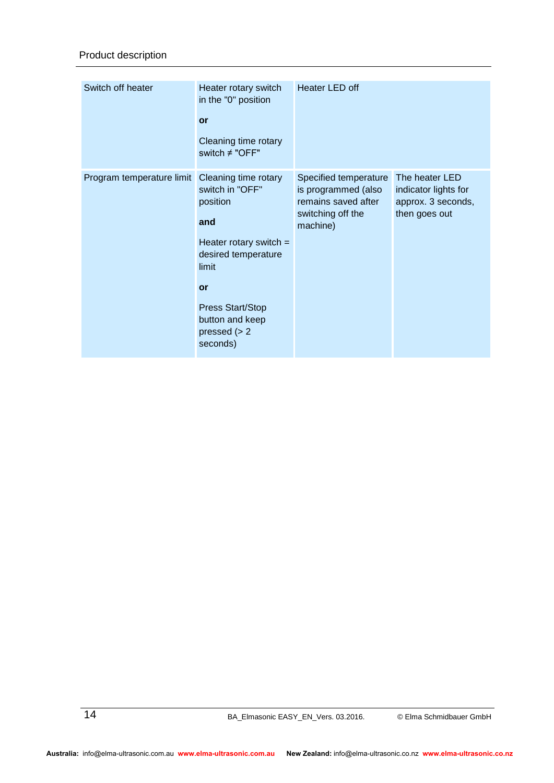| Switch off heater         | Heater rotary switch<br>in the "0" position<br>or<br>Cleaning time rotary<br>switch $\neq$ "OFF"                                                                                                          | Heater LED off                                                                                       |                                                                               |
|---------------------------|-----------------------------------------------------------------------------------------------------------------------------------------------------------------------------------------------------------|------------------------------------------------------------------------------------------------------|-------------------------------------------------------------------------------|
| Program temperature limit | Cleaning time rotary<br>switch in "OFF"<br>position<br>and<br>Heater rotary switch $=$<br>desired temperature<br>limit<br>or<br><b>Press Start/Stop</b><br>button and keep<br>pressed $(> 2)$<br>seconds) | Specified temperature<br>is programmed (also<br>remains saved after<br>switching off the<br>machine) | The heater LED<br>indicator lights for<br>approx. 3 seconds,<br>then goes out |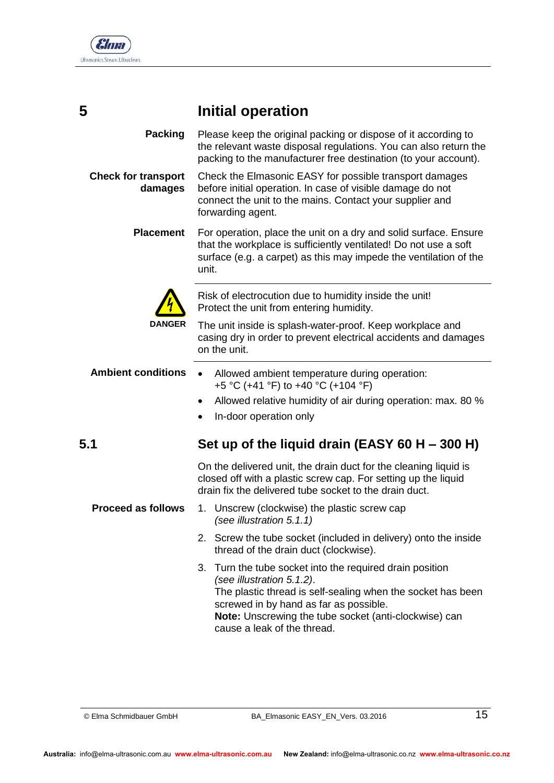

<span id="page-14-0"></span>

Please keep the original packing or dispose of it according to the relevant waste disposal regulations. You can also return the packing to the manufacturer free destination (to your account). Check the Elmasonic EASY for possible transport damages before initial operation. In case of visible damage do not connect the unit to the mains. Contact your supplier and forwarding agent. For operation, place the unit on a dry and solid surface. Ensure that the workplace is sufficiently ventilated! Do not use a soft surface (e.g. a carpet) as this may impede the ventilation of the unit. Risk of electrocution due to humidity inside the unit! Protect the unit from entering humidity. The unit inside is splash-water-proof. Keep workplace and casing dry in order to prevent electrical accidents and damages on the unit. Allowed ambient temperature during operation: +5 °C (+41 °F) to +40 °C (+104 °F) Allowed relative humidity of air during operation: max. 80 % In-door operation only **5.1 Set up of the liquid drain (EASY 60 H – 300 H)**  On the delivered unit, the drain duct for the cleaning liquid is closed off with a plastic screw cap. For setting up the liquid drain fix the delivered tube socket to the drain duct. 1. Unscrew (clockwise) the plastic screw cap *(see illustration 5.1.1)* 2. Screw the tube socket (included in delivery) onto the inside thread of the drain duct (clockwise). 3. Turn the tube socket into the required drain position *(see illustration 5.1.2)*. The plastic thread is self-sealing when the socket has been screwed in by hand as far as possible. **Packing Check for transport damages Placement DANGER Ambient conditions Proceed as follows**

<span id="page-14-1"></span>**Note:** Unscrewing the tube socket (anti-clockwise) can cause a leak of the thread.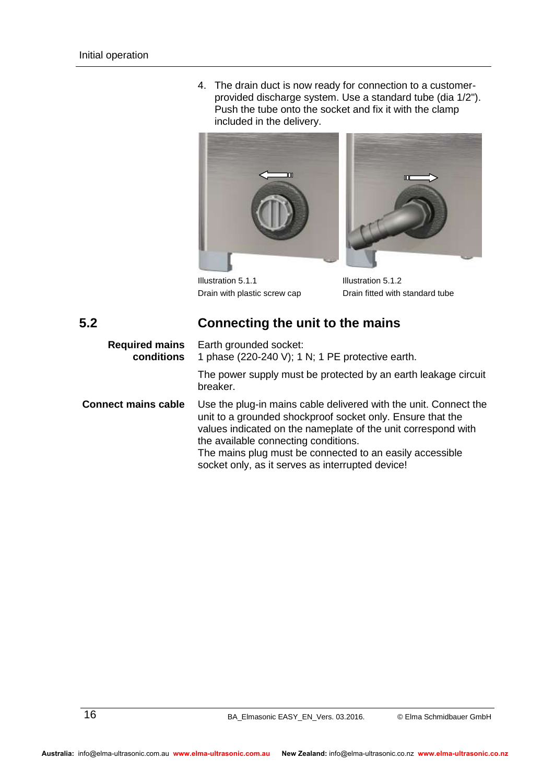4. The drain duct is now ready for connection to a customerprovided discharge system. Use a standard tube (dia 1/2"). Push the tube onto the socket and fix it with the clamp included in the delivery.



<span id="page-15-0"></span>Illustration 5.1.1 Illustration 5.1.2

Drain with plastic screw cap Drain fitted with standard tube

m

## **5.2 Connecting the unit to the mains**

| <b>Required mains</b><br>conditions | Earth grounded socket:<br>1 phase (220-240 V); 1 N; 1 PE protective earth.                                                                                                                                                                                                                                                                              |
|-------------------------------------|---------------------------------------------------------------------------------------------------------------------------------------------------------------------------------------------------------------------------------------------------------------------------------------------------------------------------------------------------------|
|                                     | The power supply must be protected by an earth leakage circuit<br>breaker.                                                                                                                                                                                                                                                                              |
| <b>Connect mains cable</b>          | Use the plug-in mains cable delivered with the unit. Connect the<br>unit to a grounded shockproof socket only. Ensure that the<br>values indicated on the nameplate of the unit correspond with<br>the available connecting conditions.<br>The mains plug must be connected to an easily accessible<br>socket only, as it serves as interrupted device! |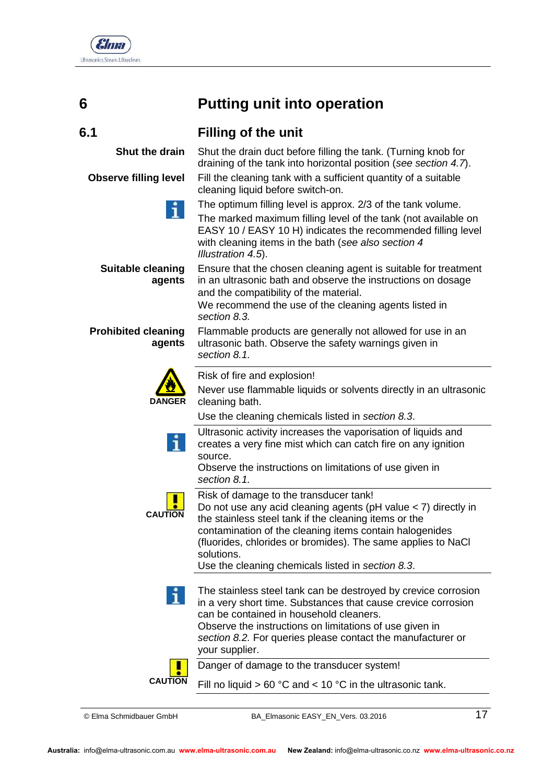

| ۹<br>I<br>ł<br>×<br>۰.<br>× |  |
|-----------------------------|--|
|                             |  |

# <span id="page-16-1"></span><span id="page-16-0"></span>**6 Putting unit into operation**

cleaning liquid before switch-on.

and the compatibility of the material.

Shut the drain duct before filling the tank. (Turning knob for draining of the tank into horizontal position (*see section [4.7](#page-9-1)*). Fill the cleaning tank with a sufficient quantity of a suitable

The optimum filling level is approx. 2/3 of the tank volume. The marked maximum filling level of the tank (not available on EASY 10 / EASY 10 H) indicates the recommended filling level

Ensure that the chosen cleaning agent is suitable for treatment in an ultrasonic bath and observe the instructions on dosage

with cleaning items in the bath (*see also section 4* 

We recommend the use of the cleaning agents listed in

ultrasonic bath. Observe the safety warnings given in

Flammable products are generally not allowed for use in an

#### **6.1 Filling of the unit**

**Shut the drain**

**Observe filling level**

**Suitable cleaning agents**

**Prohibited cleaning agents**



Risk of fire and explosion!

*Illustration 4.5*).

*section [8.3.](#page-23-0)*

*section [8.1.](#page-22-1)* 

*section [8.1.](#page-22-1)* 

Never use flammable liquids or solvents directly in an ultrasonic cleaning bath.

Use the cleaning chemicals listed in *section [8.3](#page-23-0)*.



creates a very fine mist which can catch fire on any ignition source. Observe the instructions on limitations of use given in

Ultrasonic activity increases the vaporisation of liquids and

**CAUTION**

**CAUTION**

Risk of damage to the transducer tank! Do not use any acid cleaning agents (pH value < 7) directly in the stainless steel tank if the cleaning items or the contamination of the cleaning items contain halogenides (fluorides, chlorides or bromides). The same applies to NaCl solutions.

Use the cleaning chemicals listed in *section [8.3](#page-23-0)*.

The stainless steel tank can be destroyed by crevice corrosion in a very short time. Substances that cause crevice corrosion can be contained in household cleaners. Observe the instructions on limitations of use given in *section [8.2.](#page-22-2)* For queries please contact the manufacturer or your supplier.

Danger of damage to the transducer system!

Fill no liquid  $> 60 °C$  and  $< 10 °C$  in the ultrasonic tank.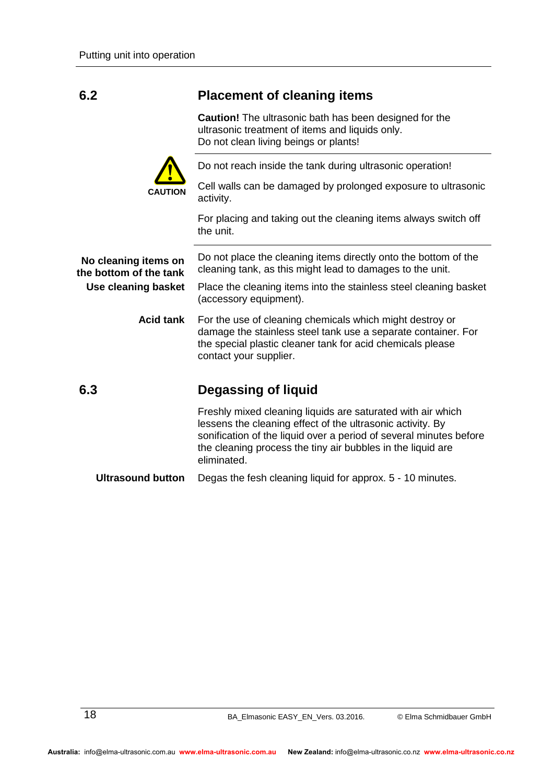### <span id="page-17-0"></span>**6.2 Placement of cleaning items**

**Caution!** The ultrasonic bath has been designed for the ultrasonic treatment of items and liquids only. Do not clean living beings or plants!



Do not reach inside the tank during ultrasonic operation!

Cell walls can be damaged by prolonged exposure to ultrasonic activity.

<span id="page-17-1"></span>For placing and taking out the cleaning items always switch off the unit.

| No cleaning items on<br>the bottom of the tank | Do not place the cleaning items directly onto the bottom of the<br>cleaning tank, as this might lead to damages to the unit.                                                                                                                                                  |  |  |
|------------------------------------------------|-------------------------------------------------------------------------------------------------------------------------------------------------------------------------------------------------------------------------------------------------------------------------------|--|--|
| Use cleaning basket                            | Place the cleaning items into the stainless steel cleaning basket<br>(accessory equipment).                                                                                                                                                                                   |  |  |
| <b>Acid tank</b>                               | For the use of cleaning chemicals which might destroy or<br>damage the stainless steel tank use a separate container. For<br>the special plastic cleaner tank for acid chemicals please<br>contact your supplier.                                                             |  |  |
|                                                |                                                                                                                                                                                                                                                                               |  |  |
| 6.3                                            | Degassing of liquid                                                                                                                                                                                                                                                           |  |  |
|                                                | Freshly mixed cleaning liquids are saturated with air which<br>lessens the cleaning effect of the ultrasonic activity. By<br>sonification of the liquid over a period of several minutes before<br>the cleaning process the tiny air bubbles in the liquid are<br>eliminated. |  |  |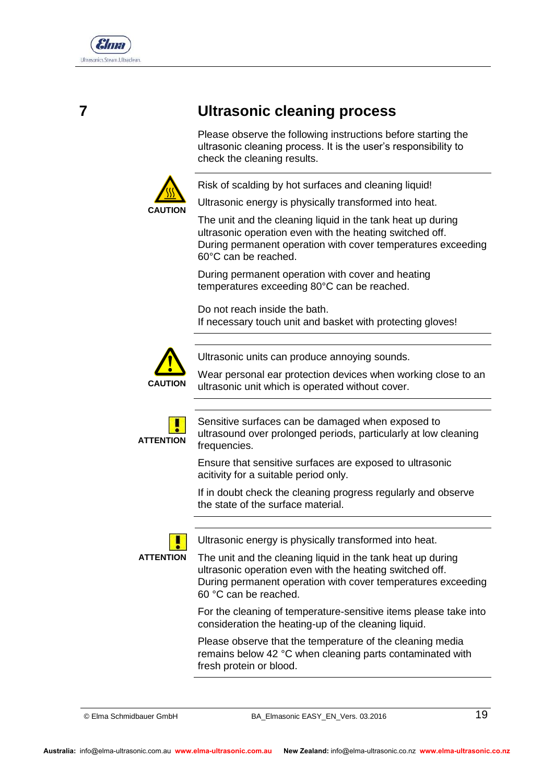

# **7 Ultrasonic cleaning process**

<span id="page-18-0"></span>Please observe the following instructions before starting the ultrasonic cleaning process. It is the user's responsibility to check the cleaning results.



Risk of scalding by hot surfaces and cleaning liquid!

Ultrasonic energy is physically transformed into heat.

The unit and the cleaning liquid in the tank heat up during ultrasonic operation even with the heating switched off. During permanent operation with cover temperatures exceeding 60°C can be reached.

During permanent operation with cover and heating temperatures exceeding 80°C can be reached.

Do not reach inside the bath. If necessary touch unit and basket with protecting gloves!



Ultrasonic units can produce annoying sounds.

Wear personal ear protection devices when working close to an ultrasonic unit which is operated without cover.



Sensitive surfaces can be damaged when exposed to ultrasound over prolonged periods, particularly at low cleaning frequencies.

Ensure that sensitive surfaces are exposed to ultrasonic acitivity for a suitable period only.

If in doubt check the cleaning progress regularly and observe the state of the surface material.



Ultrasonic energy is physically transformed into heat.

**ATTENTION**

The unit and the cleaning liquid in the tank heat up during ultrasonic operation even with the heating switched off. During permanent operation with cover temperatures exceeding 60 °C can be reached.

For the cleaning of temperature-sensitive items please take into consideration the heating-up of the cleaning liquid.

Please observe that the temperature of the cleaning media remains below 42 °C when cleaning parts contaminated with fresh protein or blood.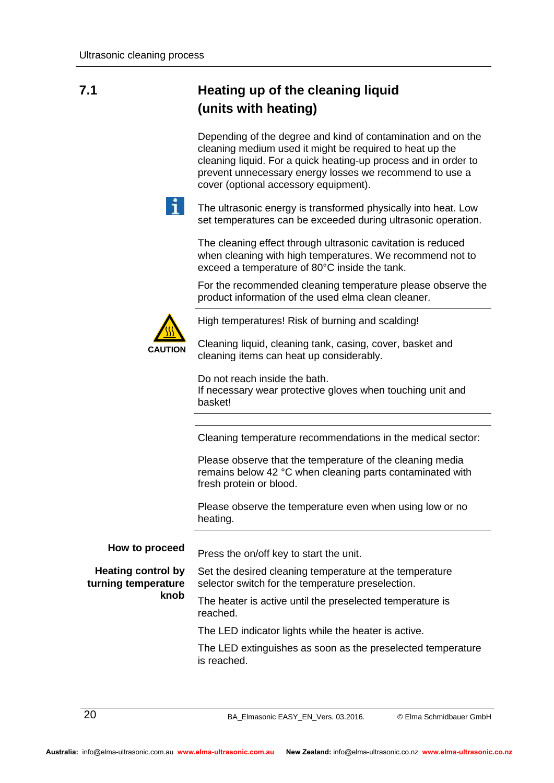## **7.1 Heating up of the cleaning liquid (units with heating)**

<span id="page-19-0"></span>Depending of the degree and kind of contamination and on the cleaning medium used it might be required to heat up the cleaning liquid. For a quick heating-up process and in order to prevent unnecessary energy losses we recommend to use a cover (optional accessory equipment).



The ultrasonic energy is transformed physically into heat. Low set temperatures can be exceeded during ultrasonic operation.

The cleaning effect through ultrasonic cavitation is reduced when cleaning with high temperatures. We recommend not to exceed a temperature of 80°C inside the tank.

For the recommended cleaning temperature please observe the product information of the used elma clean cleaner.



High temperatures! Risk of burning and scalding!

Cleaning liquid, cleaning tank, casing, cover, basket and cleaning items can heat up considerably.

Do not reach inside the bath. If necessary wear protective gloves when touching unit and basket!

Cleaning temperature recommendations in the medical sector:

Please observe that the temperature of the cleaning media remains below 42 °C when cleaning parts contaminated with fresh protein or blood.

Please observe the temperature even when using low or no heating.

| How to proceed                                           | Press the on/off key to start the unit.                                                                      |
|----------------------------------------------------------|--------------------------------------------------------------------------------------------------------------|
| <b>Heating control by</b><br>turning temperature<br>knob | Set the desired cleaning temperature at the temperature<br>selector switch for the temperature preselection. |
|                                                          | The heater is active until the preselected temperature is<br>reached.                                        |
|                                                          | The LED indicator lights while the heater is active.                                                         |
|                                                          | The LED extinguishes as soon as the preselected temperature<br>is reached.                                   |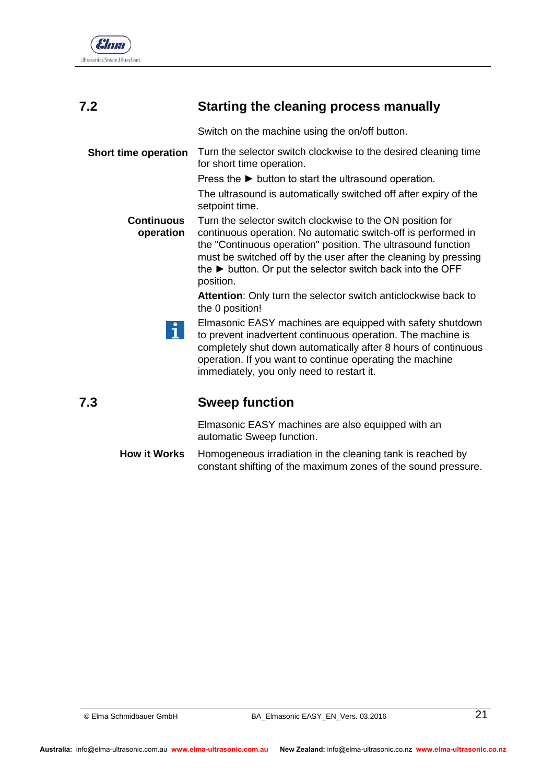

# **7.2 Starting the cleaning process manually**

<span id="page-20-0"></span>Switch on the machine using the on/off button.

Turn the selector switch clockwise to the desired cleaning time for short time operation. **Short time operation**

Press the ► button to start the ultrasound operation.

The ultrasound is automatically switched off after expiry of the setpoint time.

Turn the selector switch clockwise to the ON position for continuous operation. No automatic switch-off is performed in the "Continuous operation" position. The ultrasound function must be switched off by the user after the cleaning by pressing the ► button. Or put the selector switch back into the OFF position. **Continuous operation**

> **Attention**: Only turn the selector switch anticlockwise back to the 0 position!

Elmasonic EASY machines are equipped with safety shutdown H. to prevent inadvertent continuous operation. The machine is completely shut down automatically after 8 hours of continuous operation. If you want to continue operating the machine immediately, you only need to restart it.

**7.3 Sweep function** 

<span id="page-20-1"></span>Elmasonic EASY machines are also equipped with an automatic Sweep function.

Homogeneous irradiation in the cleaning tank is reached by constant shifting of the maximum zones of the sound pressure. **How it Works**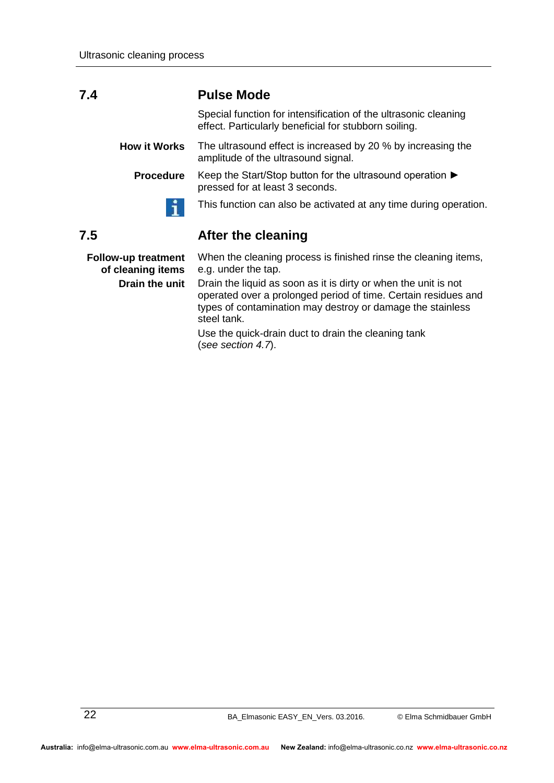#### **7.4 Pulse Mode**

ñ.

<span id="page-21-0"></span>Special function for intensification of the ultrasonic cleaning effect. Particularly beneficial for stubborn soiling.

The ultrasound effect is increased by 20 % by increasing the amplitude of the ultrasound signal. **How it Works**

Keep the Start/Stop button for the ultrasound operation ► pressed for at least 3 seconds. **Procedure**

<span id="page-21-1"></span>This function can also be activated at any time during operation.

#### **7.5 After the cleaning**

**Follow-up treatment of cleaning items Drain the unit**

When the cleaning process is finished rinse the cleaning items, e.g. under the tap.

Drain the liquid as soon as it is dirty or when the unit is not operated over a prolonged period of time. Certain residues and types of contamination may destroy or damage the stainless steel tank.

Use the quick-drain duct to drain the cleaning tank (*see section 4.7*).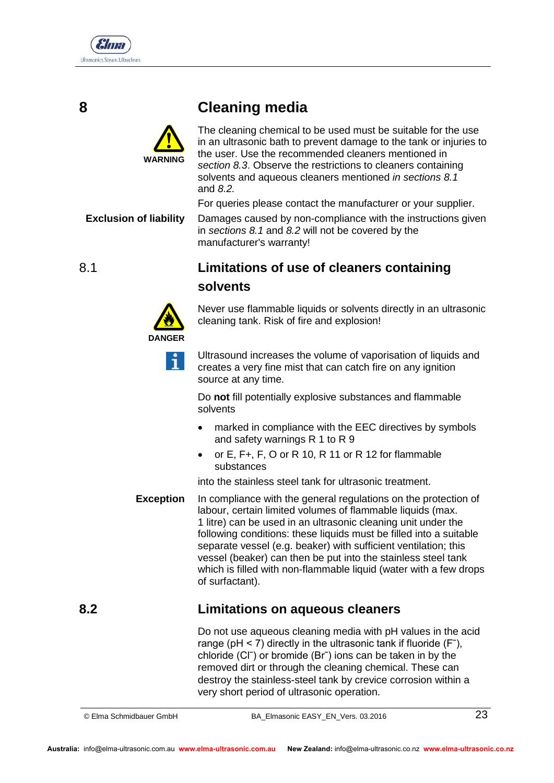

## **8 Cleaning media**



**Exclusion of liability**

<span id="page-22-0"></span>The cleaning chemical to be used must be suitable for the use in an ultrasonic bath to prevent damage to the tank or injuries to the user. Use the recommended cleaners mentioned in *section 8.3*. Observe the restrictions to cleaners containing solvents and aqueous cleaners mentioned *in sections [8.1](#page-22-1)*  and *[8.2.](#page-22-2)*

For queries please contact the manufacturer or your supplier.

<span id="page-22-1"></span>Damages caused by non-compliance with the instructions given in *sections [8.1](#page-22-1)* and *[8.2](#page-22-2)* will not be covered by the manufacturer's warranty!

## 8.1 **Limitations of use of cleaners containing solvents**



Never use flammable liquids or solvents directly in an ultrasonic cleaning tank. Risk of fire and explosion!

Ultrasound increases the volume of vaporisation of liquids and creates a very fine mist that can catch fire on any ignition source at any time.

Do **not** fill potentially explosive substances and flammable solvents

- marked in compliance with the EEC directives by symbols and safety warnings R 1 to R 9
- or E, F+, F, O or R 10, R 11 or R 12 for flammable substances

into the stainless steel tank for ultrasonic treatment.

In compliance with the general regulations on the protection of labour, certain limited volumes of flammable liquids (max. 1 litre) can be used in an ultrasonic cleaning unit under the following conditions: these liquids must be filled into a suitable separate vessel (e.g. beaker) with sufficient ventilation; this vessel (beaker) can then be put into the stainless steel tank which is filled with non-flammable liquid (water with a few drops of surfactant). **Exception**

## **8.2 Limitations on aqueous cleaners**

<span id="page-22-2"></span>Do not use aqueous cleaning media with pH values in the acid range ( $pH < 7$ ) directly in the ultrasonic tank if fluoride ( $F^-$ ), chloride (Clˉ) or bromide (Brˉ) ions can be taken in by the removed dirt or through the cleaning chemical. These can destroy the stainless-steel tank by crevice corrosion within a very short period of ultrasonic operation.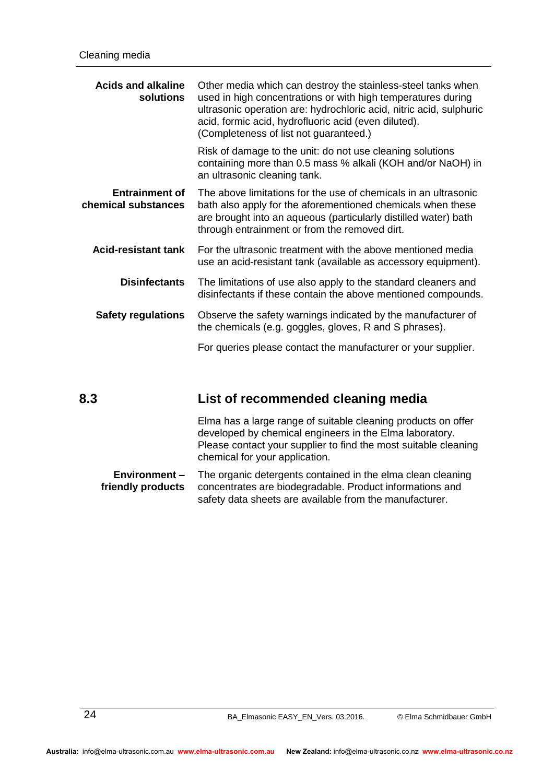| <b>Acids and alkaline</b><br>solutions       | Other media which can destroy the stainless-steel tanks when<br>used in high concentrations or with high temperatures during<br>ultrasonic operation are: hydrochloric acid, nitric acid, sulphuric<br>acid, formic acid, hydrofluoric acid (even diluted).<br>(Completeness of list not guaranteed.) |  |
|----------------------------------------------|-------------------------------------------------------------------------------------------------------------------------------------------------------------------------------------------------------------------------------------------------------------------------------------------------------|--|
|                                              | Risk of damage to the unit: do not use cleaning solutions<br>containing more than 0.5 mass % alkali (KOH and/or NaOH) in<br>an ultrasonic cleaning tank.                                                                                                                                              |  |
| <b>Entrainment of</b><br>chemical substances | The above limitations for the use of chemicals in an ultrasonic<br>bath also apply for the aforementioned chemicals when these<br>are brought into an aqueous (particularly distilled water) bath<br>through entrainment or from the removed dirt.                                                    |  |
| <b>Acid-resistant tank</b>                   | For the ultrasonic treatment with the above mentioned media<br>use an acid-resistant tank (available as accessory equipment).                                                                                                                                                                         |  |
| <b>Disinfectants</b>                         | The limitations of use also apply to the standard cleaners and<br>disinfectants if these contain the above mentioned compounds.                                                                                                                                                                       |  |
| <b>Safety regulations</b>                    | Observe the safety warnings indicated by the manufacturer of<br>the chemicals (e.g. goggles, gloves, R and S phrases).                                                                                                                                                                                |  |
|                                              | For queries please contact the manufacturer or your supplier.                                                                                                                                                                                                                                         |  |

## **8.3 List of recommended cleaning media**

<span id="page-23-0"></span>Elma has a large range of suitable cleaning products on offer developed by chemical engineers in the Elma laboratory. Please contact your supplier to find the most suitable cleaning chemical for your application.

The organic detergents contained in the elma clean cleaning concentrates are biodegradable. Product informations and safety data sheets are available from the manufacturer. **Environment – friendly products**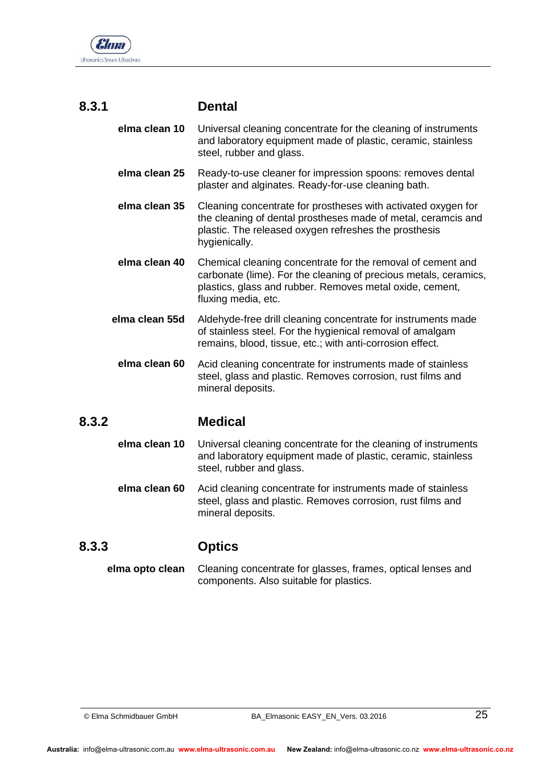

## **8.3.1 Dental**

- <span id="page-24-0"></span>Universal cleaning concentrate for the cleaning of instruments and laboratory equipment made of plastic, ceramic, stainless steel, rubber and glass. **elma clean 10**
- Ready-to-use cleaner for impression spoons: removes dental plaster and alginates. Ready-for-use cleaning bath. **elma clean 25**
- Cleaning concentrate for prostheses with activated oxygen for the cleaning of dental prostheses made of metal, ceramcis and plastic. The released oxygen refreshes the prosthesis hygienically. **elma clean 35**
- Chemical cleaning concentrate for the removal of cement and carbonate (lime). For the cleaning of precious metals, ceramics, plastics, glass and rubber. Removes metal oxide, cement, fluxing media, etc. **elma clean 40**
- Aldehyde-free drill cleaning concentrate for instruments made of stainless steel. For the hygienical removal of amalgam remains, blood, tissue, etc.; with anti-corrosion effect. **elma clean 55d**
- Acid cleaning concentrate for instruments made of stainless steel, glass and plastic. Removes corrosion, rust films and mineral deposits. **elma clean 60**

#### **8.3.2 Medical**

- <span id="page-24-1"></span>Universal cleaning concentrate for the cleaning of instruments and laboratory equipment made of plastic, ceramic, stainless steel, rubber and glass. **elma clean 10**
- <span id="page-24-2"></span>Acid cleaning concentrate for instruments made of stainless steel, glass and plastic. Removes corrosion, rust films and mineral deposits. **elma clean 60**

### **8.3.3 Optics**

Cleaning concentrate for glasses, frames, optical lenses and components. Also suitable for plastics. **elma opto clean**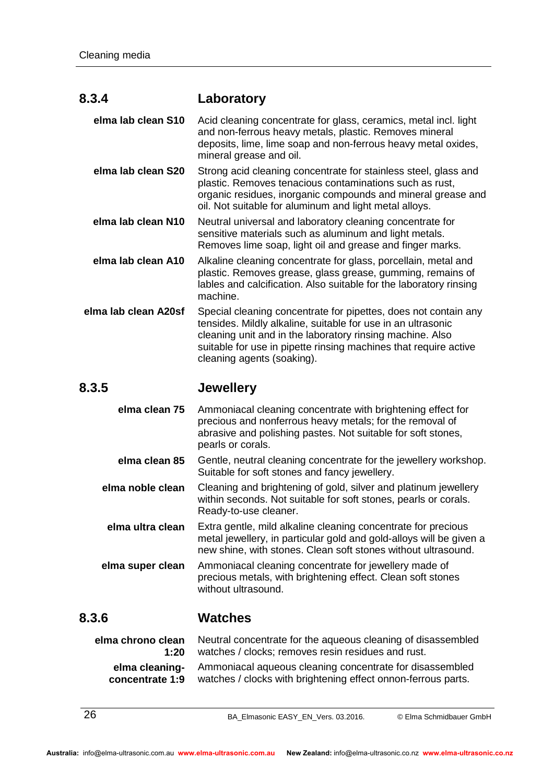#### **8.3.4 Laboratory**

<span id="page-25-0"></span>Acid cleaning concentrate for glass, ceramics, metal incl. light and non-ferrous heavy metals, plastic. Removes mineral deposits, lime, lime soap and non-ferrous heavy metal oxides, mineral grease and oil. **elma lab clean S10**

- Strong acid cleaning concentrate for stainless steel, glass and plastic. Removes tenacious contaminations such as rust, organic residues, inorganic compounds and mineral grease and oil. Not suitable for aluminum and light metal alloys. **elma lab clean S20**
- Neutral universal and laboratory cleaning concentrate for sensitive materials such as aluminum and light metals. Removes lime soap, light oil and grease and finger marks. **elma lab clean N10**
- Alkaline cleaning concentrate for glass, porcellain, metal and plastic. Removes grease, glass grease, gumming, remains of lables and calcification. Also suitable for the laboratory rinsing machine. **elma lab clean A10**
- Special cleaning concentrate for pipettes, does not contain any tensides. Mildly alkaline, suitable for use in an ultrasonic cleaning unit and in the laboratory rinsing machine. Also suitable for use in pipette rinsing machines that require active cleaning agents (soaking). **elma lab clean A20sf**

#### **8.3.5 Jewellery**

<span id="page-25-1"></span>

| elma clean 75    | Ammoniacal cleaning concentrate with brightening effect for<br>precious and nonferrous heavy metals; for the removal of<br>abrasive and polishing pastes. Not suitable for soft stones,<br>pearls or corals. |
|------------------|--------------------------------------------------------------------------------------------------------------------------------------------------------------------------------------------------------------|
| elma clean 85    | Gentle, neutral cleaning concentrate for the jewellery workshop.<br>Suitable for soft stones and fancy jewellery.                                                                                            |
| elma noble clean | Cleaning and brightening of gold, silver and platinum jewellery<br>within seconds. Not suitable for soft stones, pearls or corals.<br>Ready-to-use cleaner.                                                  |
| elma ultra clean | Extra gentle, mild alkaline cleaning concentrate for precious<br>metal jewellery, in particular gold and gold-alloys will be given a<br>new shine, with stones. Clean soft stones without ultrasound.        |
| elma super clean | Ammoniacal cleaning concentrate for jewellery made of<br>precious metals, with brightening effect. Clean soft stones<br>without ultrasound.                                                                  |

### **8.3.6 Watches**

<span id="page-25-2"></span>Neutral concentrate for the aqueous cleaning of disassembled watches / clocks; removes resin residues and rust. Ammoniacal aqueous cleaning concentrate for disassembled watches / clocks with brightening effect onnon-ferrous parts. **elma chrono clean 1:20 elma cleaningconcentrate 1:9**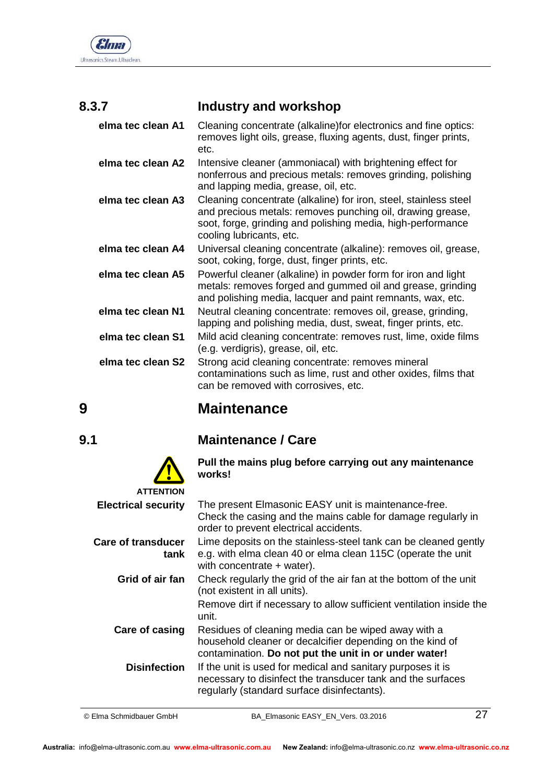

## **8.3.7 Industry and workshop**

<span id="page-26-0"></span>

| elma tec clean A1 | Cleaning concentrate (alkaline) for electronics and fine optics:<br>removes light oils, grease, fluxing agents, dust, finger prints,<br>etc.                                                                              |
|-------------------|---------------------------------------------------------------------------------------------------------------------------------------------------------------------------------------------------------------------------|
| elma tec clean A2 | Intensive cleaner (ammoniacal) with brightening effect for<br>nonferrous and precious metals: removes grinding, polishing<br>and lapping media, grease, oil, etc.                                                         |
| elma tec clean A3 | Cleaning concentrate (alkaline) for iron, steel, stainless steel<br>and precious metals: removes punching oil, drawing grease,<br>soot, forge, grinding and polishing media, high-performance<br>cooling lubricants, etc. |
| elma tec clean A4 | Universal cleaning concentrate (alkaline): removes oil, grease,<br>soot, coking, forge, dust, finger prints, etc.                                                                                                         |
| elma tec clean A5 | Powerful cleaner (alkaline) in powder form for iron and light<br>metals: removes forged and gummed oil and grease, grinding<br>and polishing media, lacquer and paint remnants, wax, etc.                                 |
| elma tec clean N1 | Neutral cleaning concentrate: removes oil, grease, grinding,<br>lapping and polishing media, dust, sweat, finger prints, etc.                                                                                             |
| elma tec clean S1 | Mild acid cleaning concentrate: removes rust, lime, oxide films<br>(e.g. verdigris), grease, oil, etc.                                                                                                                    |
| elma tec clean S2 | Strong acid cleaning concentrate: removes mineral<br>contaminations such as lime, rust and other oxides, films that<br>can be removed with corrosives, etc.                                                               |

## <span id="page-26-1"></span>**9 Maintenance**

## **9.1 Maintenance / Care**

<span id="page-26-2"></span>**Pull the mains plug before carrying out any maintenance works!** The present Elmasonic EASY unit is maintenance-free. Check the casing and the mains cable for damage regularly in order to prevent electrical accidents. Lime deposits on the stainless-steel tank can be cleaned gently e.g. with elma clean 40 or elma clean 115C (operate the unit with concentrate + water). Check regularly the grid of the air fan at the bottom of the unit (not existent in all units). Remove dirt if necessary to allow sufficient ventilation inside the unit. Residues of cleaning media can be wiped away with a household cleaner or decalcifier depending on the kind of contamination. **Do not put the unit in or under water!**  If the unit is used for medical and sanitary purposes it is necessary to disinfect the transducer tank and the surfaces regularly (standard surface disinfectants). **ATTENTION Electrical security Care of transducer tank Grid of air fan Care of casing Disinfection**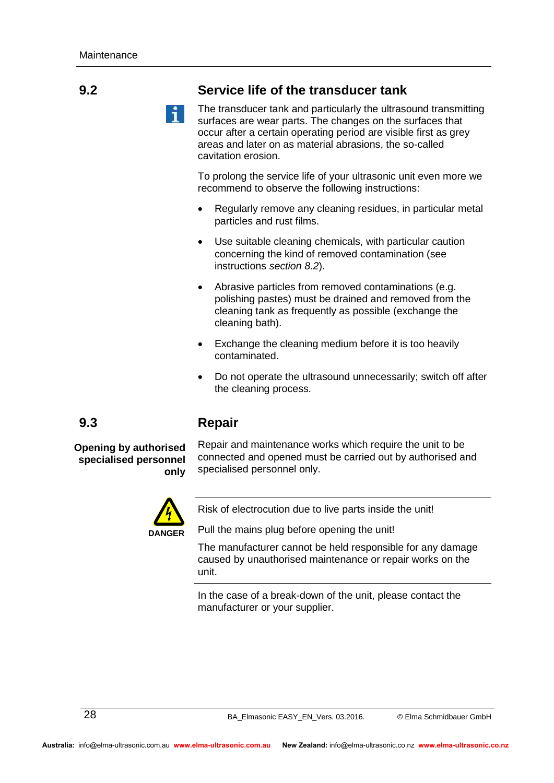## **9.2 Service life of the transducer tank**

<span id="page-27-0"></span>The transducer tank and particularly the ultrasound transmitting surfaces are wear parts. The changes on the surfaces that occur after a certain operating period are visible first as grey areas and later on as material abrasions, the so-called cavitation erosion.

To prolong the service life of your ultrasonic unit even more we recommend to observe the following instructions:

- Regularly remove any cleaning residues, in particular metal particles and rust films.
- Use suitable cleaning chemicals, with particular caution concerning the kind of removed contamination (see instructions *section [8.2](#page-22-2)*).
- Abrasive particles from removed contaminations (e.g. polishing pastes) must be drained and removed from the cleaning tank as frequently as possible (exchange the cleaning bath).
- Exchange the cleaning medium before it is too heavily contaminated.
- <span id="page-27-1"></span> Do not operate the ultrasound unnecessarily; switch off after the cleaning process.

#### **9.3 Repair**

**Opening by authorised specialised personnel only**

Repair and maintenance works which require the unit to be connected and opened must be carried out by authorised and specialised personnel only.



Risk of electrocution due to live parts inside the unit!

Pull the mains plug before opening the unit!

The manufacturer cannot be held responsible for any damage caused by unauthorised maintenance or repair works on the unit.

In the case of a break-down of the unit, please contact the manufacturer or your supplier.

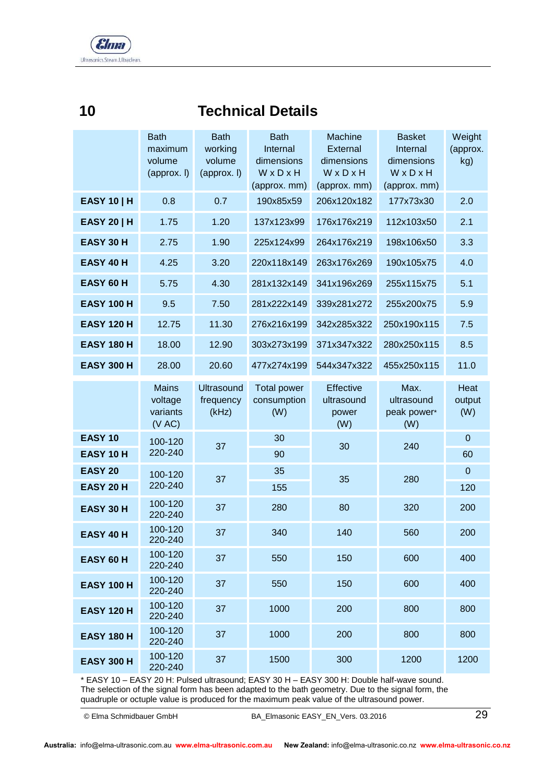

# <span id="page-28-0"></span>**10 Technical Details**

|                            | <b>Bath</b><br>maximum<br>volume<br>${\rm (approx.1)}$ | <b>Bath</b><br>working<br>volume<br>(approx. I) | <b>Bath</b><br>Internal<br>dimensions<br>WxDxH<br>(approx. mm) | Machine<br>External<br>dimensions<br>WxDxH<br>(approx. mm) | <b>Basket</b><br>Internal<br>dimensions<br>WxDxH<br>(approx. mm) | Weight<br>(approx.<br>kg) |
|----------------------------|--------------------------------------------------------|-------------------------------------------------|----------------------------------------------------------------|------------------------------------------------------------|------------------------------------------------------------------|---------------------------|
| <b>EASY 10   H</b>         | 0.8                                                    | 0.7                                             | 190x85x59                                                      | 206x120x182                                                | 177x73x30                                                        | 2.0                       |
| <b>EASY 20   H</b>         | 1.75                                                   | 1.20                                            | 137x123x99                                                     | 176x176x219                                                | 112x103x50                                                       | 2.1                       |
| EASY 30 H                  | 2.75                                                   | 1.90                                            | 225x124x99                                                     | 264x176x219                                                | 198x106x50                                                       | 3.3                       |
| <b>EASY 40 H</b>           | 4.25                                                   | 3.20                                            | 220x118x149                                                    | 263x176x269                                                | 190x105x75                                                       | 4.0                       |
| EASY 60 H                  | 5.75                                                   | 4.30                                            | 281x132x149                                                    | 341x196x269                                                | 255x115x75                                                       | 5.1                       |
| <b>EASY 100 H</b>          | 9.5                                                    | 7.50                                            | 281x222x149                                                    | 339x281x272                                                | 255x200x75                                                       | 5.9                       |
| <b>EASY 120 H</b>          | 12.75                                                  | 11.30                                           | 276x216x199                                                    | 342x285x322                                                | 250x190x115                                                      | 7.5                       |
| <b>EASY 180 H</b>          | 18.00                                                  | 12.90                                           | 303x273x199                                                    | 371x347x322                                                | 280x250x115                                                      | 8.5                       |
| <b>EASY 300 H</b>          | 28.00                                                  | 20.60                                           | 477x274x199                                                    | 544x347x322                                                | 455x250x115                                                      | 11.0                      |
|                            | <b>Mains</b><br>voltage<br>variants<br>(V AC)          | <b>Ultrasound</b><br>frequency<br>(kHz)         | <b>Total power</b><br>consumption<br>(W)                       | Effective<br>ultrasound<br>power<br>(W)                    | Max.<br>ultrasound<br>peak power*<br>(W)                         | Heat<br>output<br>(W)     |
| <b>EASY 10</b><br>EASY 10H | 100-120<br>220-240                                     | 37                                              | 30<br>90                                                       | 30                                                         | 240                                                              | $\pmb{0}$<br>60           |
| <b>EASY 20</b>             | 100-120                                                | 37                                              | 35                                                             | 35                                                         | 280                                                              | $\mathbf 0$               |
| EASY 20 H                  | 220-240                                                |                                                 | 155                                                            |                                                            |                                                                  | 120                       |
| EASY 30 H                  | 100-120<br>220-240                                     | 37                                              | 280                                                            | 80                                                         | 320                                                              | 200                       |
| <b>EASY 40 H</b>           | 100-120<br>220-240                                     | 37                                              | 340                                                            | 140                                                        | 560                                                              | 200                       |
| EASY 60 H                  | 100-120<br>220-240                                     | 37                                              | 550                                                            | 150                                                        | 600                                                              | 400                       |
| <b>EASY 100 H</b>          | 100-120<br>220-240                                     | 37                                              | 550                                                            | 150                                                        | 600                                                              | 400                       |
| <b>EASY 120 H</b>          | 100-120<br>220-240                                     | 37                                              | 1000                                                           | 200                                                        | 800                                                              | 800                       |
| <b>EASY 180 H</b>          | 100-120<br>220-240                                     | 37                                              | 1000                                                           | 200                                                        | 800                                                              | 800                       |
| <b>EASY 300 H</b>          | 100-120<br>220-240                                     | 37                                              | 1500                                                           | 300                                                        | 1200                                                             | 1200                      |

\* EASY 10 – EASY 20 H: Pulsed ultrasound; EASY 30 H – EASY 300 H: Double half-wave sound. The selection of the signal form has been adapted to the bath geometry. Due to the signal form, the quadruple or octuple value is produced for the maximum peak value of the ultrasound power.

© Elma Schmidbauer GmbH BA\_Elmasonic EASY\_EN\_Vers. 03.2016 29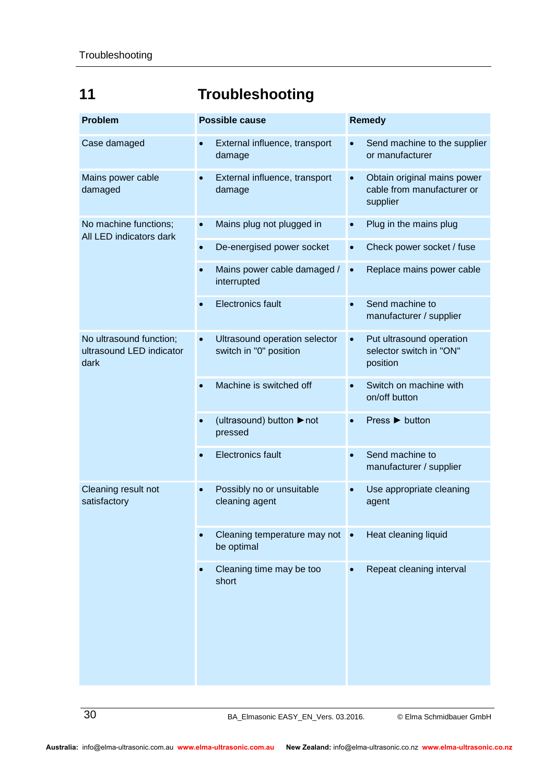# <span id="page-29-0"></span>**11 Troubleshooting**

| <b>Problem</b>                                              | <b>Possible cause</b>                                                | <b>Remedy</b>                                                                      |  |
|-------------------------------------------------------------|----------------------------------------------------------------------|------------------------------------------------------------------------------------|--|
| Case damaged                                                | External influence, transport<br>damage                              | Send machine to the supplier<br>or manufacturer                                    |  |
| Mains power cable<br>damaged                                | External influence, transport<br>$\bullet$<br>damage                 | Obtain original mains power<br>$\bullet$<br>cable from manufacturer or<br>supplier |  |
| No machine functions;<br>All LED indicators dark            | Mains plug not plugged in<br>$\bullet$                               | Plug in the mains plug<br>$\bullet$                                                |  |
|                                                             | De-energised power socket<br>$\bullet$                               | Check power socket / fuse<br>$\bullet$                                             |  |
|                                                             | Mains power cable damaged /<br>$\bullet$<br>interrupted              | Replace mains power cable<br>$\bullet$                                             |  |
|                                                             | <b>Electronics fault</b><br>$\bullet$                                | Send machine to<br>$\bullet$<br>manufacturer / supplier                            |  |
| No ultrasound function;<br>ultrasound LED indicator<br>dark | Ultrasound operation selector<br>$\bullet$<br>switch in "0" position | Put ultrasound operation<br>$\bullet$<br>selector switch in "ON"<br>position       |  |
|                                                             | Machine is switched off                                              | Switch on machine with<br>on/off button                                            |  |
|                                                             | (ultrasound) button ▶ not<br>pressed                                 | Press ▶ button                                                                     |  |
|                                                             | <b>Electronics fault</b>                                             | Send machine to<br>manufacturer / supplier                                         |  |
| Cleaning result not<br>satisfactory                         | Possibly no or unsuitable<br>cleaning agent                          | Use appropriate cleaning<br>agent                                                  |  |
|                                                             | Cleaning temperature may not<br>be optimal                           | Heat cleaning liquid                                                               |  |
|                                                             | Cleaning time may be too<br>short                                    | Repeat cleaning interval                                                           |  |

30 BA\_Elmasonic EASY\_EN\_Vers. 03.2016. © Elma Schmidbauer GmbH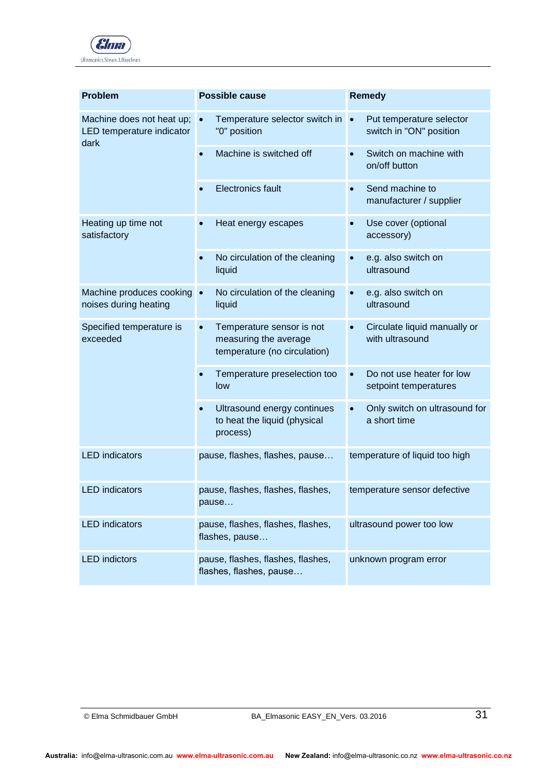

| <b>Problem</b>                                                 | <b>Possible cause</b>                                                                           | <b>Remedy</b>                                                    |  |
|----------------------------------------------------------------|-------------------------------------------------------------------------------------------------|------------------------------------------------------------------|--|
| Machine does not heat up;<br>LED temperature indicator<br>dark | Temperature selector switch in<br>$\bullet$<br>"0" position                                     | Put temperature selector<br>$\bullet$<br>switch in "ON" position |  |
|                                                                | Machine is switched off<br>$\bullet$                                                            | Switch on machine with<br>on/off button                          |  |
|                                                                | <b>Electronics fault</b><br>$\bullet$                                                           | Send machine to<br>$\bullet$<br>manufacturer / supplier          |  |
| Heating up time not<br>satisfactory                            | Heat energy escapes<br>$\bullet$                                                                | Use cover (optional<br>accessory)                                |  |
|                                                                | No circulation of the cleaning<br>$\bullet$<br>liquid                                           | e.g. also switch on<br>ultrasound                                |  |
| Machine produces cooking •<br>noises during heating            | No circulation of the cleaning<br>liquid                                                        | e.g. also switch on<br>ultrasound                                |  |
| Specified temperature is<br>exceeded                           | Temperature sensor is not<br>$\bullet$<br>measuring the average<br>temperature (no circulation) | Circulate liquid manually or<br>with ultrasound                  |  |
|                                                                | Temperature preselection too<br>$\bullet$<br>low                                                | Do not use heater for low<br>setpoint temperatures               |  |
|                                                                | Ultrasound energy continues<br>$\bullet$<br>to heat the liquid (physical<br>process)            | Only switch on ultrasound for<br>$\bullet$<br>a short time       |  |
| <b>LED</b> indicators                                          | pause, flashes, flashes, pause                                                                  | temperature of liquid too high                                   |  |
| <b>LED</b> indicators                                          | pause, flashes, flashes, flashes,<br>pause                                                      | temperature sensor defective                                     |  |
| <b>LED</b> indicators                                          | pause, flashes, flashes, flashes,<br>flashes, pause                                             | ultrasound power too low                                         |  |
| <b>LED</b> indictors                                           | pause, flashes, flashes, flashes,<br>flashes, flashes, pause                                    | unknown program error                                            |  |